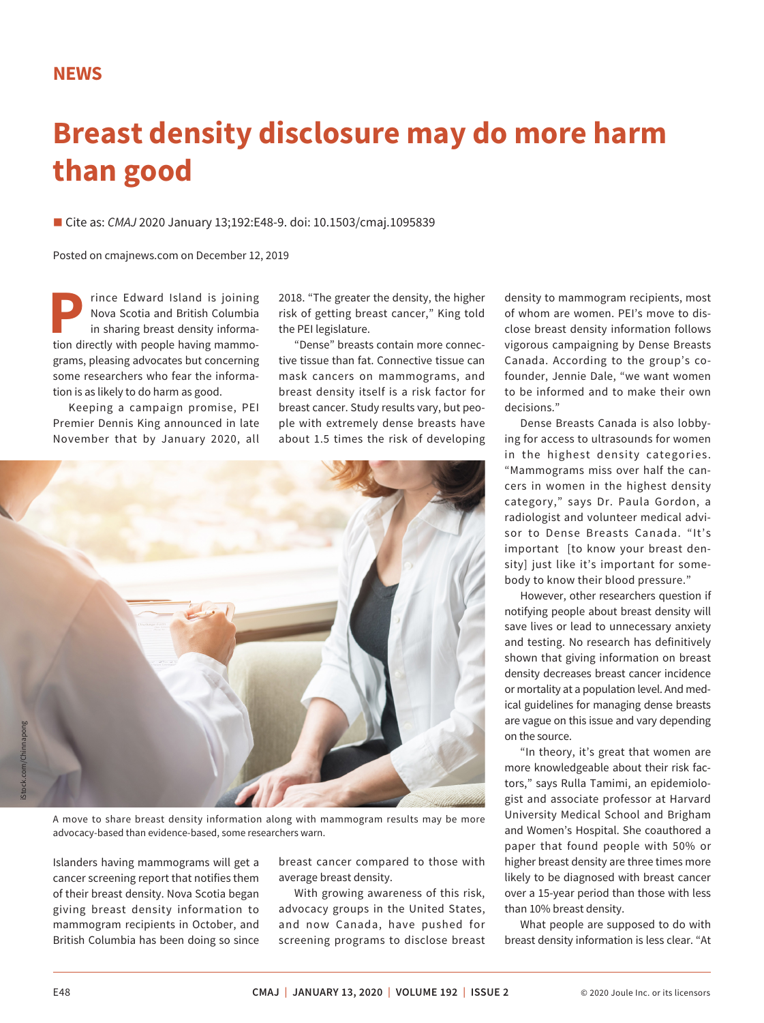## **NEWS**

## **Breast density disclosure may do more harm than good**

■ Cite as: *CMAJ* 2020 January 13;192:E48-9. doi: 10.1503/cmaj.1095839

Posted on cmajnews.com on December 12, 2019

rince Edward Island is joining Nova Scotia and British Columbia in sharing breast density information directly with people having mammograms, pleasing advocates but concerning some researchers who fear the information is as likely to do harm as good.

Keeping a campaign promise, PEI Premier Dennis King announced in late November that by January 2020, all 2018. "The greater the density, the higher risk of getting breast cancer," King told the PEI legislature.

"Dense" breasts contain more connective tissue than fat. Connective tissue can mask cancers on mammograms, and breast density itself is a risk factor for breast cancer. Study results vary, but people with extremely dense breasts have about 1.5 times the risk of developing



A move to share breast density information along with mammogram results may be more advocacy-based than evidence-based, some researchers warn.

Islanders having mammograms will get a cancer screening report that notifies them of their breast density. Nova Scotia began giving breast density information to mammogram recipients in October, and British Columbia has been doing so since

breast cancer compared to those with average breast density.

With growing awareness of this risk, advocacy groups in the United States, and now Canada, have pushed for screening programs to disclose breast

density to mammogram recipients, most of whom are women. PEI's move to disclose breast density information follows vigorous campaigning by Dense Breasts Canada. According to the group's cofounder, Jennie Dale, "we want women to be informed and to make their own decisions."

Dense Breasts Canada is also lobbying for access to ultrasounds for women in the highest density categories. "Mammograms miss over half the cancers in women in the highest density category," says Dr. Paula Gordon, a radiologist and volunteer medical advisor to Dense Breasts Canada. "It's important [to know your breast density] just like it's important for somebody to know their blood pressure."

However, other researchers question if notifying people about breast density will save lives or lead to unnecessary anxiety and testing. No research has definitively shown that giving information on breast density decreases breast cancer incidence or mortality at a population level. And medical guidelines for managing dense breasts are vague on this issue and vary depending on the source.

"In theory, it's great that women are more knowledgeable about their risk factors," says Rulla Tamimi, an epidemiologist and associate professor at Harvard University Medical School and Brigham and Women's Hospital. She coauthored a paper that found people with 50% or higher breast density are three times more likely to be diagnosed with breast cancer over a 15-year period than those with less than 10% breast density.

What people are supposed to do with breast density information is less clear. "At